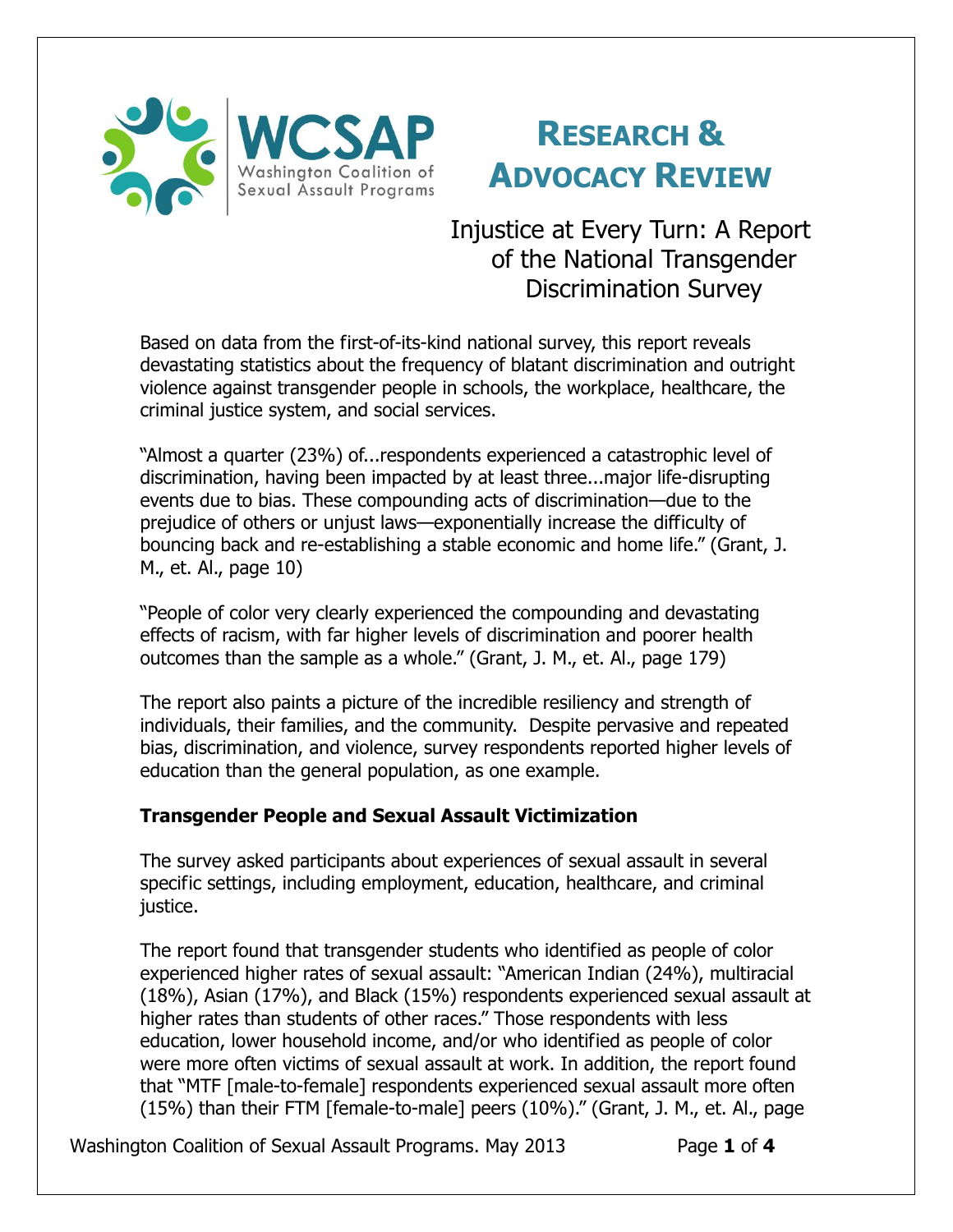

# **RESEARCH & ADVOCACY REVIEW**

Injustice at Every Turn: A Report of the National Transgender Discrimination Survey

Based on data from the first-of-its-kind national survey, this report reveals devastating statistics about the frequency of blatant discrimination and outright violence against transgender people in schools, the workplace, healthcare, the criminal justice system, and social services.

"Almost a quarter (23%) of...respondents experienced a catastrophic level of discrimination, having been impacted by at least three...major life-disrupting events due to bias. These compounding acts of discrimination—due to the prejudice of others or unjust laws—exponentially increase the difficulty of bouncing back and re-establishing a stable economic and home life." (Grant, J. M., et. Al., page 10)

"People of color very clearly experienced the compounding and devastating effects of racism, with far higher levels of discrimination and poorer health outcomes than the sample as a whole." (Grant, J. M., et. Al., page 179)

The report also paints a picture of the incredible resiliency and strength of individuals, their families, and the community. Despite pervasive and repeated bias, discrimination, and violence, survey respondents reported higher levels of education than the general population, as one example.

# **Transgender People and Sexual Assault Victimization**

The survey asked participants about experiences of sexual assault in several specific settings, including employment, education, healthcare, and criminal justice.

The report found that transgender students who identified as people of color experienced higher rates of sexual assault: "American Indian (24%), multiracial (18%), Asian (17%), and Black (15%) respondents experienced sexual assault at higher rates than students of other races." Those respondents with less education, lower household income, and/or who identified as people of color were more often victims of sexual assault at work. In addition, the report found that "MTF [male-to-female] respondents experienced sexual assault more often (15%) than their FTM [female-to-male] peers (10%)." (Grant, J. M., et. Al., page

Washington Coalition of Sexual Assault Programs. May 2013 Page 1 of 4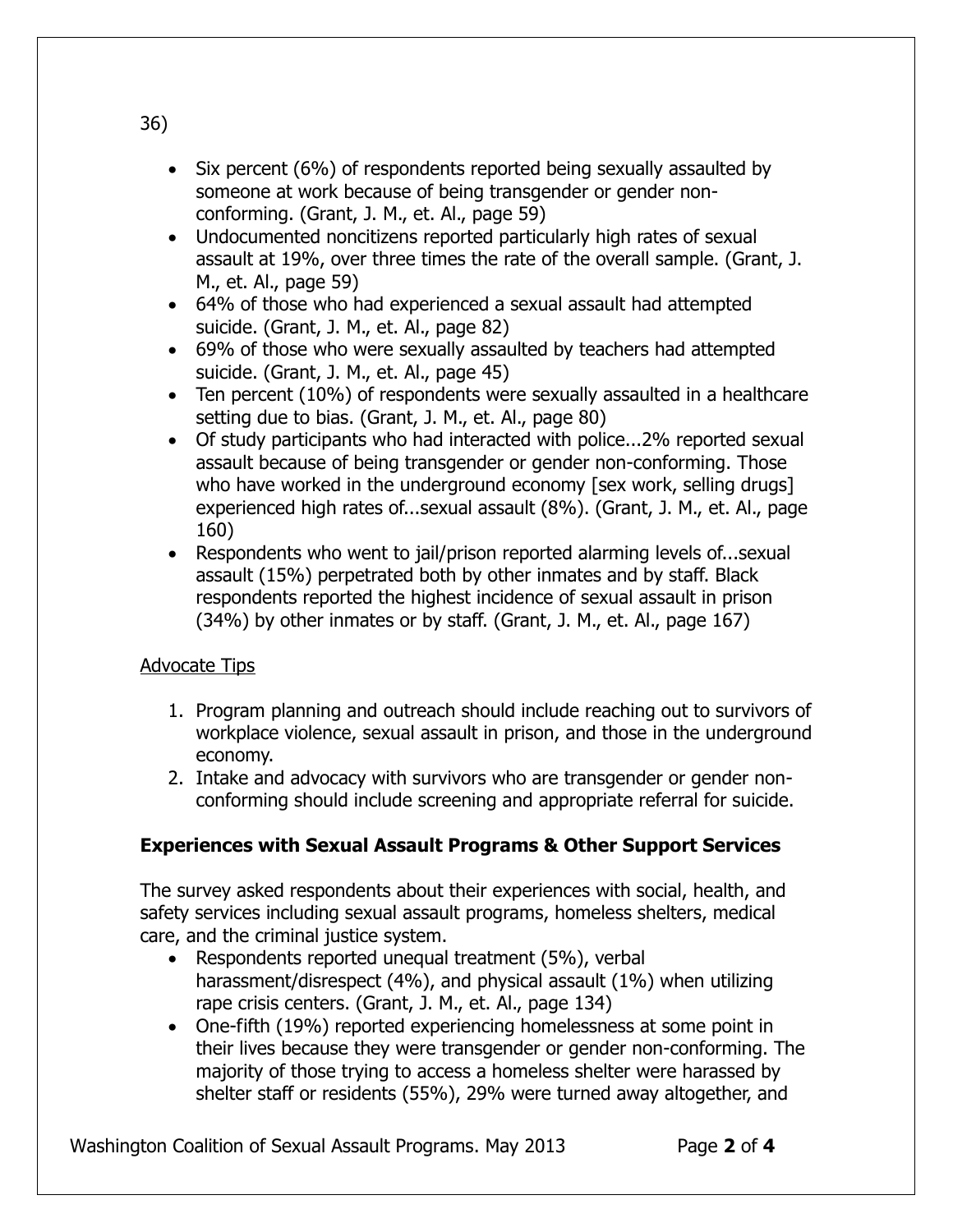- Six percent (6%) of respondents reported being sexually assaulted by someone at work because of being transgender or gender nonconforming. (Grant, J. M., et. Al., page 59)
- Undocumented noncitizens reported particularly high rates of sexual assault at 19%, over three times the rate of the overall sample. (Grant, J. M., et. Al., page 59)
- 64% of those who had experienced a sexual assault had attempted suicide. (Grant, J. M., et. Al., page 82)
- 69% of those who were sexually assaulted by teachers had attempted suicide. (Grant, J. M., et. Al., page 45)
- Ten percent (10%) of respondents were sexually assaulted in a healthcare setting due to bias. (Grant, J. M., et. Al., page 80)
- Of study participants who had interacted with police...2% reported sexual assault because of being transgender or gender non-conforming. Those who have worked in the underground economy [sex work, selling drugs] experienced high rates of...sexual assault (8%). (Grant, J. M., et. Al., page 160)
- Respondents who went to jail/prison reported alarming levels of...sexual assault (15%) perpetrated both by other inmates and by staff. Black respondents reported the highest incidence of sexual assault in prison (34%) by other inmates or by staff. (Grant, J. M., et. Al., page 167)

# Advocate Tips

- 1. Program planning and outreach should include reaching out to survivors of workplace violence, sexual assault in prison, and those in the underground economy.
- 2. Intake and advocacy with survivors who are transgender or gender nonconforming should include screening and appropriate referral for suicide.

# **Experiences with Sexual Assault Programs & Other Support Services**

The survey asked respondents about their experiences with social, health, and safety services including sexual assault programs, homeless shelters, medical care, and the criminal justice system.

- Respondents reported unequal treatment (5%), verbal harassment/disrespect (4%), and physical assault (1%) when utilizing rape crisis centers. (Grant, J. M., et. Al., page 134)
- One-fifth (19%) reported experiencing homelessness at some point in their lives because they were transgender or gender non-conforming. The majority of those trying to access a homeless shelter were harassed by shelter staff or residents (55%), 29% were turned away altogether, and

Washington Coalition of Sexual Assault Programs. May 2013 Page 2 of 4

36)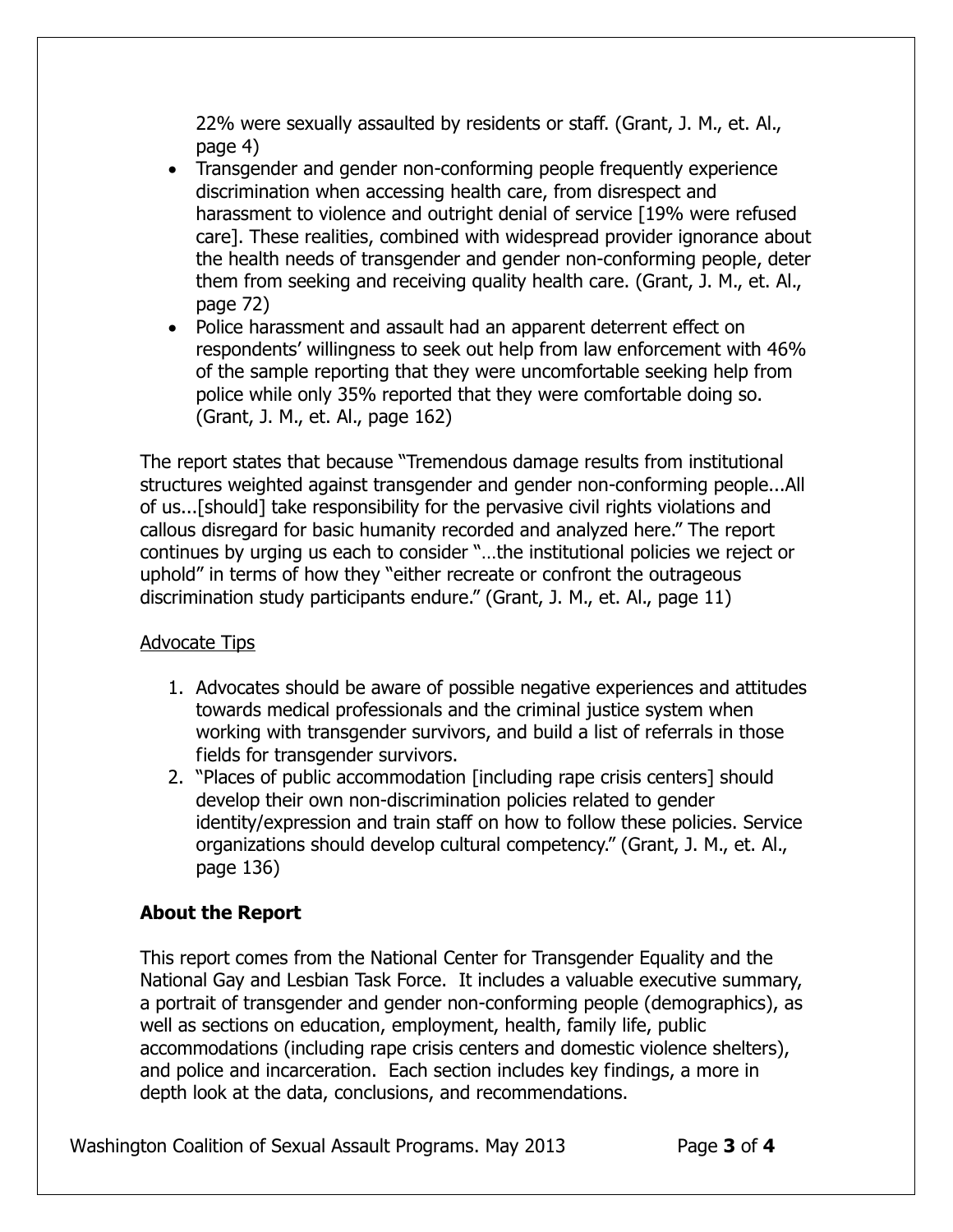22% were sexually assaulted by residents or staff. (Grant, J. M., et. Al., page 4)

- Transgender and gender non-conforming people frequently experience discrimination when accessing health care, from disrespect and harassment to violence and outright denial of service [19% were refused care]. These realities, combined with widespread provider ignorance about the health needs of transgender and gender non-conforming people, deter them from seeking and receiving quality health care. (Grant, J. M., et. Al., page 72)
- Police harassment and assault had an apparent deterrent effect on respondents' willingness to seek out help from law enforcement with 46% of the sample reporting that they were uncomfortable seeking help from police while only 35% reported that they were comfortable doing so. (Grant, J. M., et. Al., page 162)

The report states that because "Tremendous damage results from institutional structures weighted against transgender and gender non-conforming people...All of us...[should] take responsibility for the pervasive civil rights violations and callous disregard for basic humanity recorded and analyzed here." The report continues by urging us each to consider "…the institutional policies we reject or uphold" in terms of how they "either recreate or confront the outrageous discrimination study participants endure." (Grant, J. M., et. Al., page 11)

### Advocate Tips

- 1. Advocates should be aware of possible negative experiences and attitudes towards medical professionals and the criminal justice system when working with transgender survivors, and build a list of referrals in those fields for transgender survivors.
- 2. "Places of public accommodation [including rape crisis centers] should develop their own non-discrimination policies related to gender identity/expression and train staff on how to follow these policies. Service organizations should develop cultural competency." (Grant, J. M., et. Al., page 136)

# **About the Report**

This report comes from the National Center for Transgender Equality and the National Gay and Lesbian Task Force. It includes a valuable executive summary, a portrait of transgender and gender non-conforming people (demographics), as well as sections on education, employment, health, family life, public accommodations (including rape crisis centers and domestic violence shelters), and police and incarceration. Each section includes key findings, a more in depth look at the data, conclusions, and recommendations.

Washington Coalition of Sexual Assault Programs. May 2013 Page 3 of 4